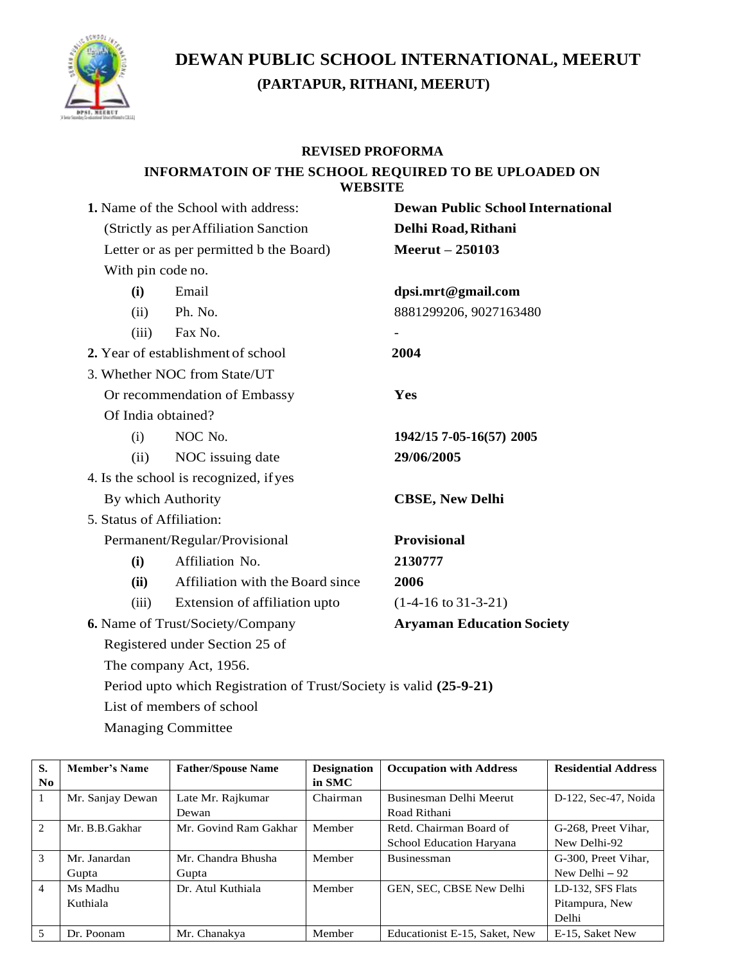

## **DEWAN PUBLIC SCHOOL INTERNATIONAL, MEERUT (PARTAPUR, RITHANI, MEERUT)**

## **REVISED PROFORMA**

## **INFORMATOIN OF THE SCHOOL REQUIRED TO BE UPLOADED ON WEBSITE**

| 1. Name of the School with address:      | <b>Dewan Public School International</b> |  |  |
|------------------------------------------|------------------------------------------|--|--|
| (Strictly as per Affiliation Sanction)   | Delhi Road, Rithani                      |  |  |
| Letter or as per permitted b the Board)  | <b>Meerut</b> – 250103                   |  |  |
| With pin code no.                        |                                          |  |  |
| Email<br>(i)                             | dpsi.mrt@gmail.com                       |  |  |
| Ph. No.<br>(ii)                          | 8881299206, 9027163480                   |  |  |
| Fax No.<br>(iii)                         |                                          |  |  |
| 2. Year of establishment of school       | 2004                                     |  |  |
| 3. Whether NOC from State/UT             |                                          |  |  |
| Or recommendation of Embassy             | Yes                                      |  |  |
| Of India obtained?                       |                                          |  |  |
| NOC No.<br>(i)                           | 1942/15 7-05-16(57) 2005                 |  |  |
| NOC issuing date<br>(ii)                 | 29/06/2005                               |  |  |
| 4. Is the school is recognized, if yes   |                                          |  |  |
| By which Authority                       | <b>CBSE, New Delhi</b>                   |  |  |
| 5. Status of Affiliation:                |                                          |  |  |
| Permanent/Regular/Provisional            | <b>Provisional</b>                       |  |  |
| Affiliation No.<br>(i)                   | 2130777                                  |  |  |
| Affiliation with the Board since<br>(ii) | 2006                                     |  |  |
| Extension of affiliation upto<br>(iii)   | $(1-4-16 \text{ to } 31-3-21)$           |  |  |
| 6. Name of Trust/Society/Company         | <b>Aryaman Education Society</b>         |  |  |
| Registered under Section 25 of           |                                          |  |  |
| The company Act, 1956.                   |                                          |  |  |

Period upto which Registration of Trust/Society is valid **(25-9-21)**

List of members of school

Managing Committee

| S.             | Member's Name    | <b>Father/Spouse Name</b> | <b>Designation</b> | <b>Occupation with Address</b> | <b>Residential Address</b> |
|----------------|------------------|---------------------------|--------------------|--------------------------------|----------------------------|
| No.            |                  |                           | in SMC             |                                |                            |
| $\overline{1}$ | Mr. Sanjay Dewan | Late Mr. Rajkumar         | Chairman           | Businesman Delhi Meerut        | D-122, Sec-47, Noida       |
|                |                  | Dewan                     |                    | Road Rithani                   |                            |
| $\mathcal{L}$  | Mr. B.B.Gakhar   | Mr. Govind Ram Gakhar     | Member             | Retd. Chairman Board of        | G-268, Preet Vihar,        |
|                |                  |                           |                    | School Education Haryana       | New Delhi-92               |
| $\mathcal{Z}$  | Mr. Janardan     | Mr. Chandra Bhusha        | Member             | Businessman                    | G-300. Preet Vihar.        |
|                | Gupta            | Gupta                     |                    |                                | New Delhi $-92$            |
| $\overline{4}$ | Ms Madhu         | Dr. Atul Kuthiala         | Member             | GEN, SEC, CBSE New Delhi       | LD-132, SFS Flats          |
|                | Kuthiala         |                           |                    |                                | Pitampura, New             |
|                |                  |                           |                    |                                | Delhi                      |
| .5             | Dr. Poonam       | Mr. Chanakya              | Member             | Educationist E-15, Saket, New  | E-15. Saket New            |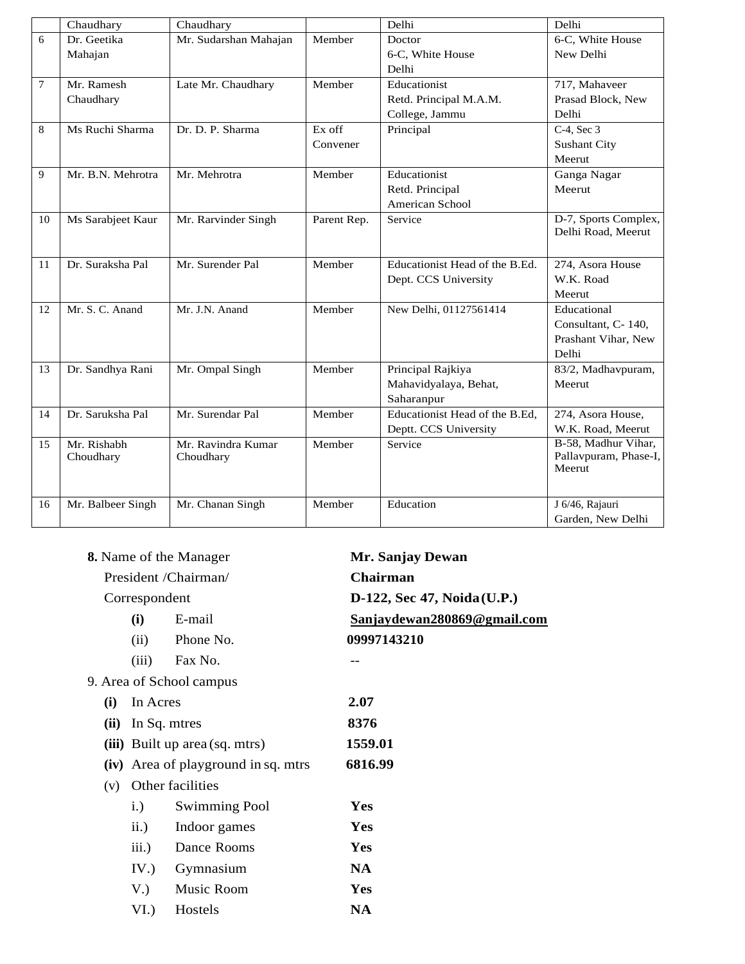|                | Chaudhary         | Chaudhary             |             | Delhi                          | Delhi                           |
|----------------|-------------------|-----------------------|-------------|--------------------------------|---------------------------------|
| 6              | Dr. Geetika       | Mr. Sudarshan Mahajan | Member      | Doctor                         | 6-C, White House                |
|                | Mahajan           |                       |             | 6-C, White House               | New Delhi                       |
|                |                   |                       |             | Delhi                          |                                 |
| $\overline{7}$ | Mr. Ramesh        | Late Mr. Chaudhary    | Member      | Educationist                   | 717, Mahaveer                   |
|                | Chaudhary         |                       |             | Retd. Principal M.A.M.         | Prasad Block, New               |
|                |                   |                       |             | College, Jammu                 | Delhi                           |
| 8              | Ms Ruchi Sharma   | Dr. D. P. Sharma      | Ex off      | Principal                      | $C-4$ , Sec 3                   |
|                |                   |                       | Convener    |                                | <b>Sushant City</b>             |
|                |                   |                       |             |                                | Meerut                          |
| 9              | Mr. B.N. Mehrotra | Mr. Mehrotra          | Member      | Educationist                   | Ganga Nagar                     |
|                |                   |                       |             | Retd. Principal                | Meerut                          |
|                |                   |                       |             | American School                |                                 |
| 10             | Ms Sarabjeet Kaur | Mr. Rarvinder Singh   | Parent Rep. | Service                        | D-7, Sports Complex,            |
|                |                   |                       |             |                                | Delhi Road, Meerut              |
|                |                   |                       |             |                                |                                 |
| 11             | Dr. Suraksha Pal  | Mr. Surender Pal      | Member      | Educationist Head of the B.Ed. | 274, Asora House                |
|                |                   |                       |             | Dept. CCS University           | W.K. Road                       |
|                |                   |                       |             |                                | Meerut                          |
| 12             | Mr. S. C. Anand   | Mr. J.N. Anand        | Member      | New Delhi, 01127561414         | Educational                     |
|                |                   |                       |             |                                | Consultant, C-140,              |
|                |                   |                       |             |                                | Prashant Vihar, New             |
|                |                   |                       |             |                                | Delhi                           |
| 13             | Dr. Sandhya Rani  | Mr. Ompal Singh       | Member      | Principal Rajkiya              | 83/2, Madhavpuram,              |
|                |                   |                       |             | Mahavidyalaya, Behat,          | Meerut                          |
|                |                   |                       |             | Saharanpur                     |                                 |
| 14             | Dr. Saruksha Pal  | Mr. Surendar Pal      | Member      | Educationist Head of the B.Ed, | 274, Asora House,               |
|                |                   |                       |             | Deptt. CCS University          | W.K. Road, Meerut               |
| 15             | Mr. Rishabh       | Mr. Ravindra Kumar    | Member      | Service                        | B-58, Madhur Vihar,             |
|                | Choudhary         | Choudhary             |             |                                | Pallavpuram, Phase-I,<br>Meerut |
|                |                   |                       |             |                                |                                 |
|                |                   |                       |             |                                |                                 |
| 16             | Mr. Balbeer Singh | Mr. Chanan Singh      | Member      | Education                      | J 6/46, Rajauri                 |
|                |                   |                       |             |                                | Garden, New Delhi               |

|      |                                                | 8. Name of the Manager              | Mr. Sanjay Dewan            |
|------|------------------------------------------------|-------------------------------------|-----------------------------|
|      |                                                | President /Chairman/                | Chairman                    |
|      | Correspondent                                  |                                     | D-122, Sec 47, Noida (U.P.) |
|      | (i)                                            | E-mail                              | Sanjaydewan280869@gmail.com |
|      | (ii)                                           | Phone No.                           | 09997143210                 |
|      | (iii)                                          | Fax No.                             |                             |
|      |                                                | 9. Area of School campus            |                             |
| (i)  | In Acres                                       |                                     | 2.07                        |
| (ii) | In Sq. mtres<br>(iii) Built up area (sq. mtrs) |                                     | 8376                        |
|      |                                                |                                     | 1559.01                     |
|      |                                                | (iv) Area of playground in sq. mtrs | 6816.99                     |
| (v)  |                                                | Other facilities                    |                             |
|      | i.)                                            | <b>Swimming Pool</b>                | Yes                         |
|      | ii.)                                           | Indoor games                        | Yes                         |
|      | iii.)                                          | Dance Rooms                         | Yes                         |
|      | IV.)                                           | Gymnasium                           | <b>NA</b>                   |
|      | V.                                             | Music Room                          | Yes                         |
|      | VI.                                            | Hostels                             | <b>NA</b>                   |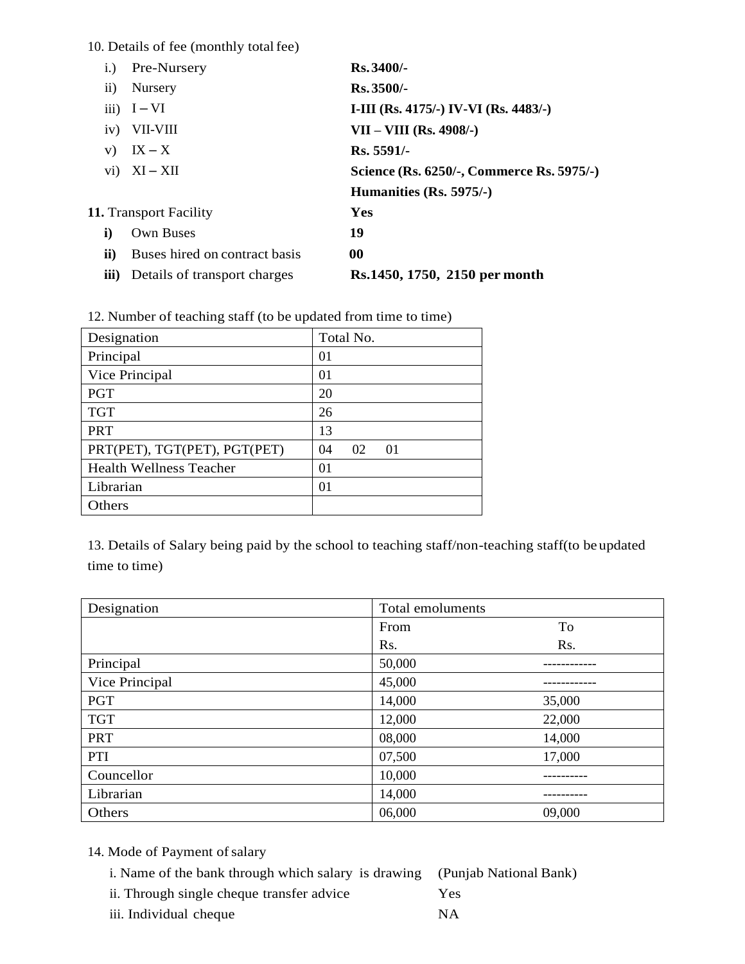10. Details of fee (monthly total fee)

| 1.        | Pre-Nursery                   | Rs. 3400/-                                |
|-----------|-------------------------------|-------------------------------------------|
| $\rm ii)$ | Nursery                       | $Rs.3500/-$                               |
|           | $iii)$ I-VI                   | I-III (Rs. 4175/-) IV-VI (Rs. 4483/-)     |
| iv)       | VII-VIII                      | $VII - VIII (Rs. 4908/-)$                 |
| V)        | $IX - X$                      | Rs. 5591/-                                |
|           | $vi) \quad XI - XII$          | Science (Rs. 6250/-, Commerce Rs. 5975/-) |
|           |                               | Humanities (Rs. 5975/-)                   |
|           | <b>11.</b> Transport Facility | Yes                                       |
| i)        | Own Buses                     | 19                                        |
| ii)       | Buses hired on contract basis | 00                                        |
| iii)      | Details of transport charges  | Rs. 1450, 1750, 2150 per month            |

| Designation                    | Total No.            |
|--------------------------------|----------------------|
| Principal                      | 0 <sub>1</sub>       |
| Vice Principal                 | $\Omega$             |
| <b>PGT</b>                     | 20                   |
| <b>TGT</b>                     | 26                   |
| <b>PRT</b>                     | 13                   |
| PRT(PET), TGT(PET), PGT(PET)   | 02<br>04<br>$\Omega$ |
| <b>Health Wellness Teacher</b> | $\Omega$ 1           |
| Librarian                      | $\Omega$             |
| Others                         |                      |

13. Details of Salary being paid by the school to teaching staff/non-teaching staff(to be updated time to time)

| Designation    | Total emoluments |        |
|----------------|------------------|--------|
|                | From             | To     |
|                | Rs.              | Rs.    |
| Principal      | 50,000           |        |
| Vice Principal | 45,000           |        |
| <b>PGT</b>     | 14,000           | 35,000 |
| <b>TGT</b>     | 12,000           | 22,000 |
| <b>PRT</b>     | 08,000           | 14,000 |
| PTI            | 07,500           | 17,000 |
| Councellor     | 10,000           |        |
| Librarian      | 14,000           |        |
| Others         | 06,000           | 09,000 |

- 14. Mode of Payment of salary
	- i. Name of the bank through which salary is drawing (Punjab National Bank)
	- ii. Through single cheque transfer advice Yes
	- iii. Individual cheque NA
- 
-